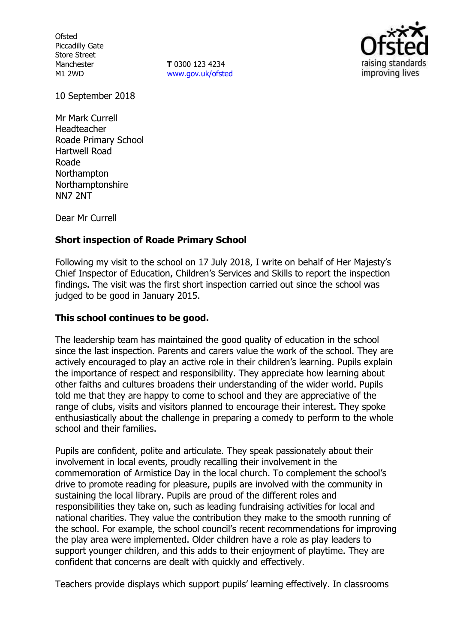**Ofsted** Piccadilly Gate Store Street Manchester M1 2WD

**T** 0300 123 4234 www.gov.uk/ofsted



10 September 2018

Mr Mark Currell Headteacher Roade Primary School Hartwell Road Roade **Northampton** Northamptonshire NN7 2NT

Dear Mr Currell

# **Short inspection of Roade Primary School**

Following my visit to the school on 17 July 2018, I write on behalf of Her Majesty's Chief Inspector of Education, Children's Services and Skills to report the inspection findings. The visit was the first short inspection carried out since the school was judged to be good in January 2015.

## **This school continues to be good.**

The leadership team has maintained the good quality of education in the school since the last inspection. Parents and carers value the work of the school. They are actively encouraged to play an active role in their children's learning. Pupils explain the importance of respect and responsibility. They appreciate how learning about other faiths and cultures broadens their understanding of the wider world. Pupils told me that they are happy to come to school and they are appreciative of the range of clubs, visits and visitors planned to encourage their interest. They spoke enthusiastically about the challenge in preparing a comedy to perform to the whole school and their families.

Pupils are confident, polite and articulate. They speak passionately about their involvement in local events, proudly recalling their involvement in the commemoration of Armistice Day in the local church. To complement the school's drive to promote reading for pleasure, pupils are involved with the community in sustaining the local library. Pupils are proud of the different roles and responsibilities they take on, such as leading fundraising activities for local and national charities. They value the contribution they make to the smooth running of the school. For example, the school council's recent recommendations for improving the play area were implemented. Older children have a role as play leaders to support younger children, and this adds to their enjoyment of playtime. They are confident that concerns are dealt with quickly and effectively.

Teachers provide displays which support pupils' learning effectively. In classrooms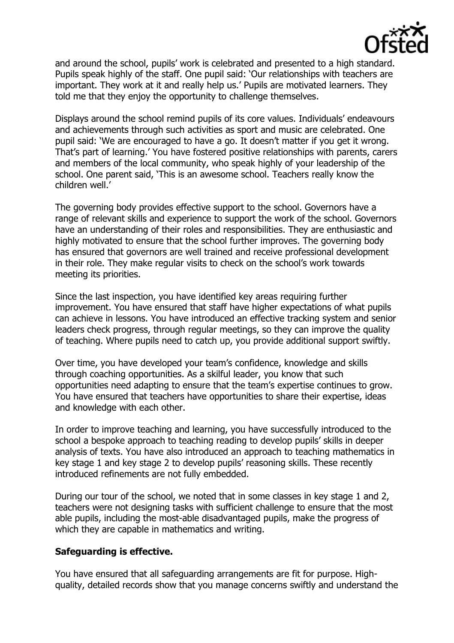

and around the school, pupils' work is celebrated and presented to a high standard. Pupils speak highly of the staff. One pupil said: 'Our relationships with teachers are important. They work at it and really help us.' Pupils are motivated learners. They told me that they enjoy the opportunity to challenge themselves.

Displays around the school remind pupils of its core values. Individuals' endeavours and achievements through such activities as sport and music are celebrated. One pupil said: 'We are encouraged to have a go. It doesn't matter if you get it wrong. That's part of learning.' You have fostered positive relationships with parents, carers and members of the local community, who speak highly of your leadership of the school. One parent said, 'This is an awesome school. Teachers really know the children well.'

The governing body provides effective support to the school. Governors have a range of relevant skills and experience to support the work of the school. Governors have an understanding of their roles and responsibilities. They are enthusiastic and highly motivated to ensure that the school further improves. The governing body has ensured that governors are well trained and receive professional development in their role. They make regular visits to check on the school's work towards meeting its priorities.

Since the last inspection, you have identified key areas requiring further improvement. You have ensured that staff have higher expectations of what pupils can achieve in lessons. You have introduced an effective tracking system and senior leaders check progress, through regular meetings, so they can improve the quality of teaching. Where pupils need to catch up, you provide additional support swiftly.

Over time, you have developed your team's confidence, knowledge and skills through coaching opportunities. As a skilful leader, you know that such opportunities need adapting to ensure that the team's expertise continues to grow. You have ensured that teachers have opportunities to share their expertise, ideas and knowledge with each other.

In order to improve teaching and learning, you have successfully introduced to the school a bespoke approach to teaching reading to develop pupils' skills in deeper analysis of texts. You have also introduced an approach to teaching mathematics in key stage 1 and key stage 2 to develop pupils' reasoning skills. These recently introduced refinements are not fully embedded.

During our tour of the school, we noted that in some classes in key stage 1 and 2, teachers were not designing tasks with sufficient challenge to ensure that the most able pupils, including the most-able disadvantaged pupils, make the progress of which they are capable in mathematics and writing.

# **Safeguarding is effective.**

You have ensured that all safeguarding arrangements are fit for purpose. Highquality, detailed records show that you manage concerns swiftly and understand the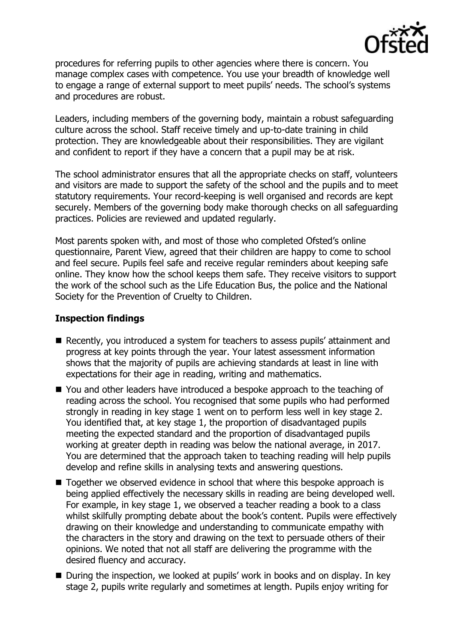

procedures for referring pupils to other agencies where there is concern. You manage complex cases with competence. You use your breadth of knowledge well to engage a range of external support to meet pupils' needs. The school's systems and procedures are robust.

Leaders, including members of the governing body, maintain a robust safeguarding culture across the school. Staff receive timely and up-to-date training in child protection. They are knowledgeable about their responsibilities. They are vigilant and confident to report if they have a concern that a pupil may be at risk.

The school administrator ensures that all the appropriate checks on staff, volunteers and visitors are made to support the safety of the school and the pupils and to meet statutory requirements. Your record-keeping is well organised and records are kept securely. Members of the governing body make thorough checks on all safeguarding practices. Policies are reviewed and updated regularly.

Most parents spoken with, and most of those who completed Ofsted's online questionnaire, Parent View, agreed that their children are happy to come to school and feel secure. Pupils feel safe and receive regular reminders about keeping safe online. They know how the school keeps them safe. They receive visitors to support the work of the school such as the Life Education Bus, the police and the National Society for the Prevention of Cruelty to Children.

# **Inspection findings**

- Recently, you introduced a system for teachers to assess pupils' attainment and progress at key points through the year. Your latest assessment information shows that the majority of pupils are achieving standards at least in line with expectations for their age in reading, writing and mathematics.
- You and other leaders have introduced a bespoke approach to the teaching of reading across the school. You recognised that some pupils who had performed strongly in reading in key stage 1 went on to perform less well in key stage 2. You identified that, at key stage 1, the proportion of disadvantaged pupils meeting the expected standard and the proportion of disadvantaged pupils working at greater depth in reading was below the national average, in 2017. You are determined that the approach taken to teaching reading will help pupils develop and refine skills in analysing texts and answering questions.
- Together we observed evidence in school that where this bespoke approach is being applied effectively the necessary skills in reading are being developed well. For example, in key stage 1, we observed a teacher reading a book to a class whilst skilfully prompting debate about the book's content. Pupils were effectively drawing on their knowledge and understanding to communicate empathy with the characters in the story and drawing on the text to persuade others of their opinions. We noted that not all staff are delivering the programme with the desired fluency and accuracy.
- During the inspection, we looked at pupils' work in books and on display. In key stage 2, pupils write regularly and sometimes at length. Pupils enjoy writing for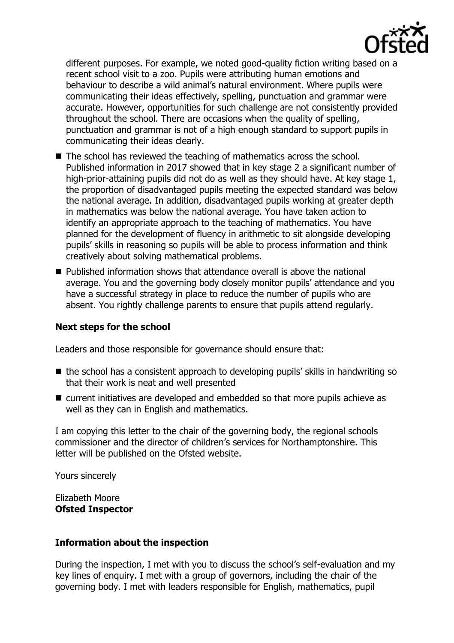

different purposes. For example, we noted good-quality fiction writing based on a recent school visit to a zoo. Pupils were attributing human emotions and behaviour to describe a wild animal's natural environment. Where pupils were communicating their ideas effectively, spelling, punctuation and grammar were accurate. However, opportunities for such challenge are not consistently provided throughout the school. There are occasions when the quality of spelling, punctuation and grammar is not of a high enough standard to support pupils in communicating their ideas clearly.

- $\blacksquare$  The school has reviewed the teaching of mathematics across the school. Published information in 2017 showed that in key stage 2 a significant number of high-prior-attaining pupils did not do as well as they should have. At key stage 1, the proportion of disadvantaged pupils meeting the expected standard was below the national average. In addition, disadvantaged pupils working at greater depth in mathematics was below the national average. You have taken action to identify an appropriate approach to the teaching of mathematics. You have planned for the development of fluency in arithmetic to sit alongside developing pupils' skills in reasoning so pupils will be able to process information and think creatively about solving mathematical problems.
- Published information shows that attendance overall is above the national average. You and the governing body closely monitor pupils' attendance and you have a successful strategy in place to reduce the number of pupils who are absent. You rightly challenge parents to ensure that pupils attend regularly.

# **Next steps for the school**

Leaders and those responsible for governance should ensure that:

- the school has a consistent approach to developing pupils' skills in handwriting so that their work is neat and well presented
- current initiatives are developed and embedded so that more pupils achieve as well as they can in English and mathematics.

I am copying this letter to the chair of the governing body, the regional schools commissioner and the director of children's services for Northamptonshire. This letter will be published on the Ofsted website.

Yours sincerely

Elizabeth Moore **Ofsted Inspector**

# **Information about the inspection**

During the inspection, I met with you to discuss the school's self-evaluation and my key lines of enquiry. I met with a group of governors, including the chair of the governing body. I met with leaders responsible for English, mathematics, pupil